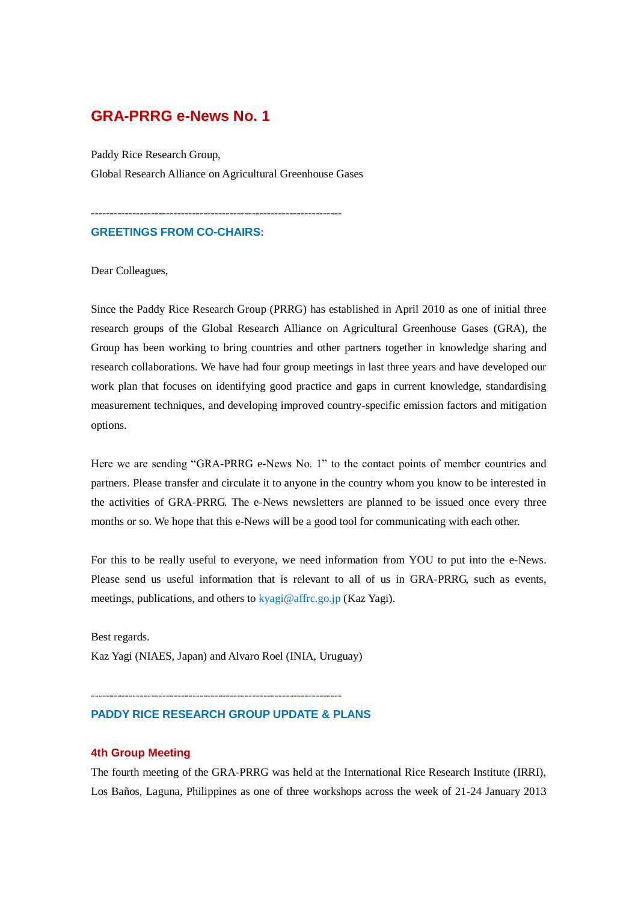# **GRA-PRRG e-News No. 1**

Paddy Rice Research Group, Global Research Alliance on Agricultural Greenhouse Gases

-------------------------------------------------------------------

# **GREETINGS FROM CO-CHAIRS:**

Dear Colleagues,

Since the Paddy Rice Research Group (PRRG) has established in April 2010 as one of initial three research groups of the Global Research Alliance on Agricultural Greenhouse Gases (GRA), the Group has been working to bring countries and other partners together in knowledge sharing and research collaborations. We have had four group meetings in last three years and have developed our work plan that focuses on identifying good practice and gaps in current knowledge, standardising measurement techniques, and developing improved country-specific emission factors and mitigation options.

Here we are sending "GRA-PRRG e-News No. 1" to the contact points of member countries and partners. Please transfer and circulate it to anyone in the country whom you know to be interested in the activities of GRA-PRRG. The e-News newsletters are planned to be issued once every three months or so. We hope that this e-News will be a good tool for communicating with each other.

For this to be really useful to everyone, we need information from YOU to put into the e-News. Please send us useful information that is relevant to all of us in GRA-PRRG, such as events, meetings, publications, and others to kyagi@affrc.go.jp (Kaz Yagi).

Best regards. Kaz Yagi (NIAES, Japan) and Alvaro Roel (INIA, Uruguay)

## **PADDY RICE RESEARCH GROUP UPDATE & PLANS**

-------------------------------------------------------------------

### **4th Group Meeting**

The fourth meeting of the GRA-PRRG was held at the International Rice Research Institute (IRRI), Los Baños, Laguna, Philippines as one of three workshops across the week of 21-24 January 2013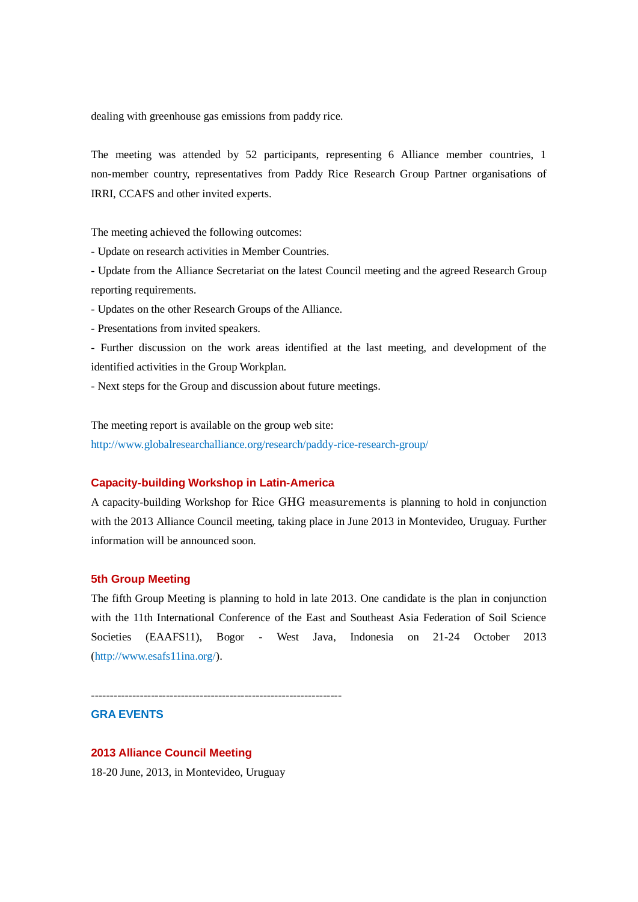dealing with greenhouse gas emissions from paddy rice.

The meeting was attended by 52 participants, representing 6 Alliance member countries, 1 non-member country, representatives from Paddy Rice Research Group Partner organisations of IRRI, CCAFS and other invited experts.

The meeting achieved the following outcomes:

- Update on research activities in Member Countries.

- Update from the Alliance Secretariat on the latest Council meeting and the agreed Research Group reporting requirements.

- Updates on the other Research Groups of the Alliance.

- Presentations from invited speakers.

- Further discussion on the work areas identified at the last meeting, and development of the identified activities in the Group Workplan.

- Next steps for the Group and discussion about future meetings.

The meeting report is available on the group web site:

http://www.globalresearchalliance.org/research/paddy-rice-research-group/

#### **Capacity-building Workshop in Latin-America**

A capacity-building Workshop for Rice GHG measurements is planning to hold in conjunction with the 2013 Alliance Council meeting, taking place in June 2013 in Montevideo, Uruguay. Further information will be announced soon.

## **5th Group Meeting**

The fifth Group Meeting is planning to hold in late 2013. One candidate is the plan in conjunction with the 11th International Conference of the East and Southeast Asia Federation of Soil Science Societies (EAAFS11), Bogor - West Java, Indonesia on 21-24 October 2013 (http://www.esafs11ina.org/).

-------------------------------------------------------------------

**GRA EVENTS**

#### **2013 Alliance Council Meeting**

18-20 June, 2013, in Montevideo, Uruguay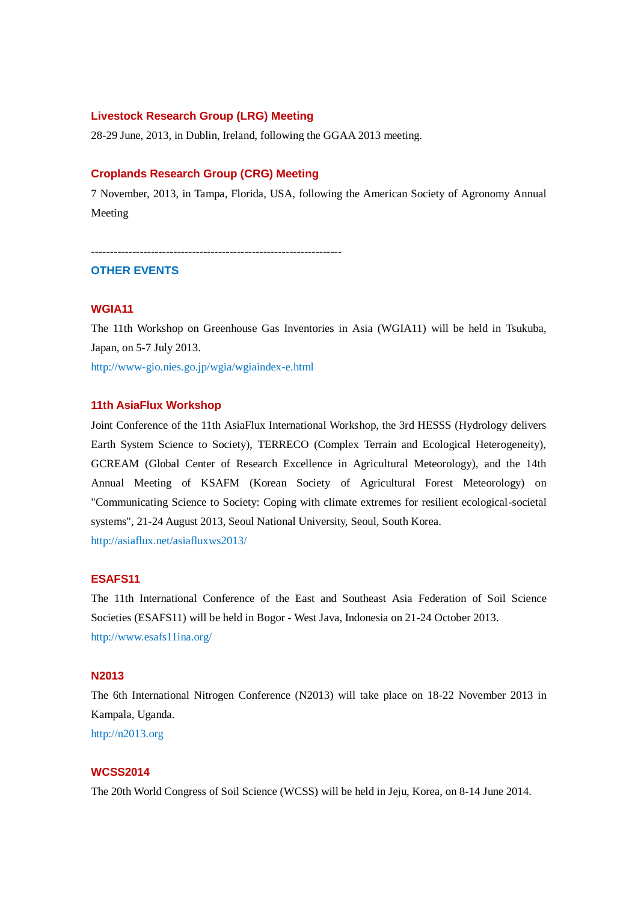### **Livestock Research Group (LRG) Meeting**

28-29 June, 2013, in Dublin, Ireland, following the GGAA 2013 meeting.

#### **Croplands Research Group (CRG) Meeting**

7 November, 2013, in Tampa, Florida, USA, following the American Society of Agronomy Annual Meeting

-------------------------------------------------------------------

### **OTHER EVENTS**

#### **WGIA11**

The 11th Workshop on Greenhouse Gas Inventories in Asia (WGIA11) will be held in Tsukuba, Japan, on 5-7 July 2013.

http://www-gio.nies.go.jp/wgia/wgiaindex-e.html

### **11th AsiaFlux Workshop**

Joint Conference of the 11th AsiaFlux International Workshop, the 3rd HESSS (Hydrology delivers Earth System Science to Society), TERRECO (Complex Terrain and Ecological Heterogeneity), GCREAM (Global Center of Research Excellence in Agricultural Meteorology), and the 14th Annual Meeting of KSAFM (Korean Society of Agricultural Forest Meteorology) on "Communicating Science to Society: Coping with climate extremes for resilient ecological-societal systems", 21-24 August 2013, Seoul National University, Seoul, South Korea. http://asiaflux.net/asiafluxws2013/

## **ESAFS11**

The 11th International Conference of the East and Southeast Asia Federation of Soil Science Societies (ESAFS11) will be held in Bogor - West Java, Indonesia on 21-24 October 2013. http://www.esafs11ina.org/

## **N2013**

The 6th International Nitrogen Conference (N2013) will take place on 18-22 November 2013 in Kampala, Uganda. http://n2013.org

#### **WCSS2014**

The 20th World Congress of Soil Science (WCSS) will be held in Jeju, Korea, on 8-14 June 2014.